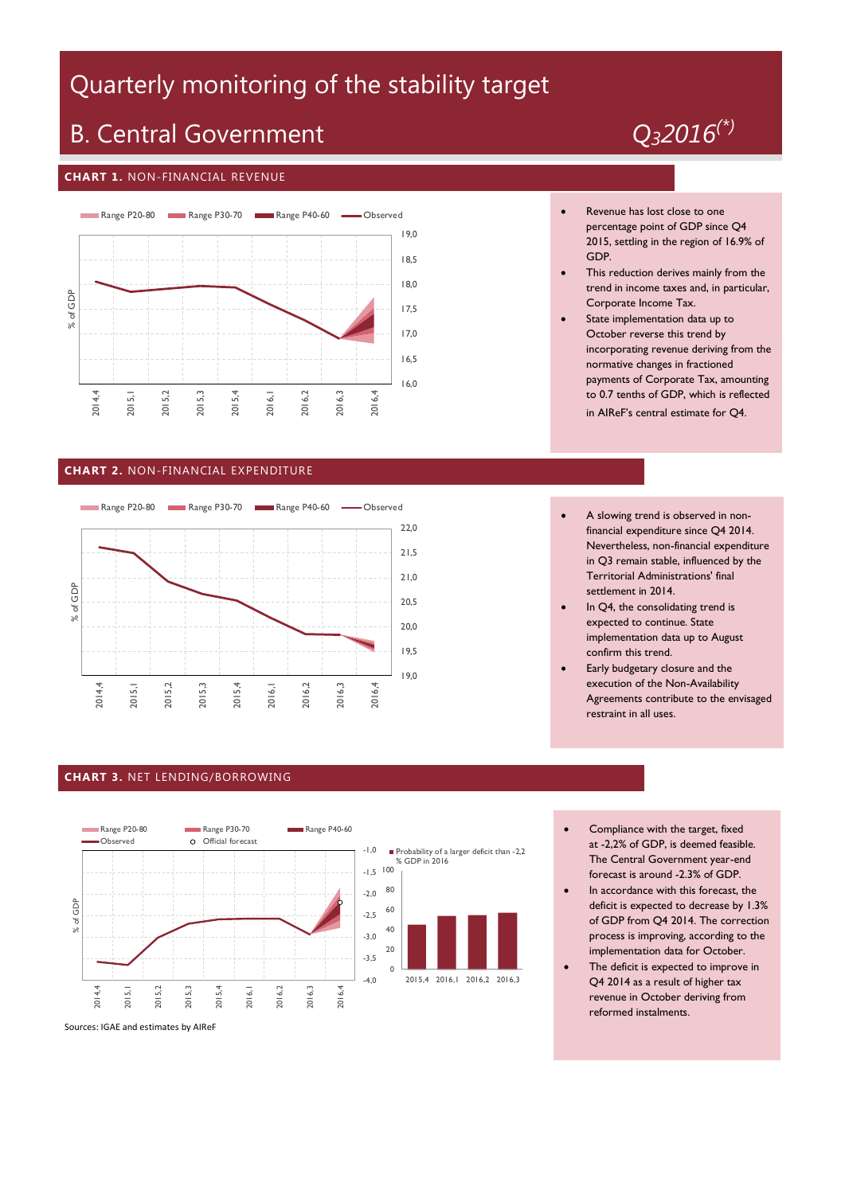# Quarterly monitoring of the stability target

# B. Central Government *Q32016(\*)*

### **CHART 1.** NON-FINANCIAL REVENUE



### **CHART 2.** NON-FINANCIAL EXPENDITURE



#### **CHART 3.** NET LENDING/BORROWING



Sources: IGAE and estimates by AIReF



#### Revenue has lost close to one percentage point of GDP since Q4 2015, settling in the region of 16.9% of GDP.

- This reduction derives mainly from the trend in income taxes and, in particular, Corporate Income Tax.
- State implementation data up to October reverse this trend by incorporating revenue deriving from the normative changes in fractioned payments of Corporate Tax, amounting to 0.7 tenths of GDP, which is reflected in AIReF's central estimate for Q4.
- A slowing trend is observed in nonfinancial expenditure since Q4 2014. Nevertheless, non-financial expenditure in Q3 remain stable, influenced by the Territorial Administrations' final settlement in 2014.
- In Q4, the consolidating trend is expected to continue. State implementation data up to August confirm this trend.
- Early budgetary closure and the execution of the Non-Availability Agreements contribute to the envisaged restraint in all uses.
- Compliance with the target, fixed at -2,2% of GDP, is deemed feasible. The Central Government year-end forecast is around -2.3% of GDP.
- In accordance with this forecast, the deficit is expected to decrease by 1.3% of GDP from Q4 2014. The correction process is improving, according to the implementation data for October.
- The deficit is expected to improve in Q4 2014 as a result of higher tax revenue in October deriving from reformed instalments.